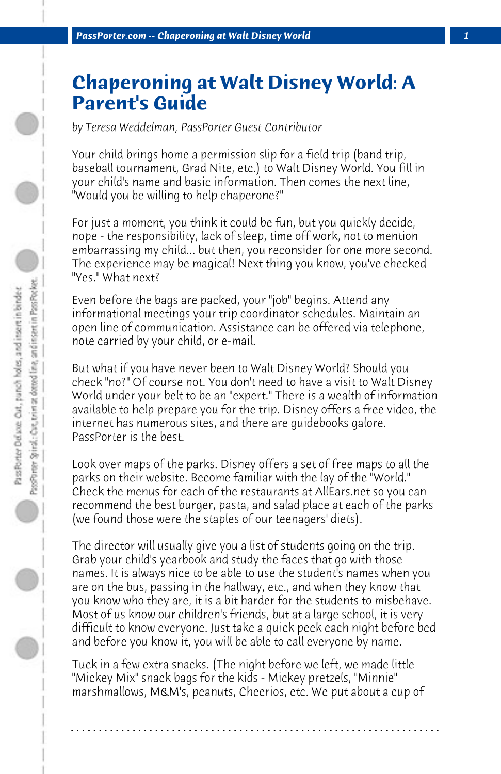## **Chaperoning at Walt Disney World: A Parent's Guide**

*by Teresa Weddelman, PassPorter Guest Contributor*

Your child brings home a permission slip for a field trip (band trip, baseball tournament, Grad Nite, etc.) to Walt Disney World. You fill in your child's name and basic information. Then comes the next line, "Would you be willing to help chaperone?"

For just a moment, you think it could be fun, but you quickly decide, nope - the responsibility, lack of sleep, time off work, not to mention embarrassing my child... but then, you reconsider for one more second. The experience may be magical! Next thing you know, you've checked "Yes." What next?

Even before the bags are packed, your "job" begins. Attend any informational meetings your trip coordinator schedules. Maintain an open line of communication. Assistance can be offered via telephone, note carried by your child, or e-mail.

But what if you have never been to Walt Disney World? Should you check "no?" Of course not. You don't need to have a visit to Walt Disney World under your belt to be an "expert." There is a wealth of information available to help prepare you for the trip. Disney offers a free video, the internet has numerous sites, and there are guidebooks galore. PassPorter is the best.

Look over maps of the parks. Disney offers a set of free maps to all the parks on their website. Become familiar with the lay of the "World." Check the menus for each of the restaurants at AllEars.net so you can recommend the best burger, pasta, and salad place at each of the parks (we found those were the staples of our teenagers' diets).

The director will usually give you a list of students going on the trip. Grab your child's yearbook and study the faces that go with those names. It is always nice to be able to use the student's names when you are on the bus, passing in the hallway, etc., and when they know that you know who they are, it is a bit harder for the students to misbehave. Most of us know our children's friends, but at a large school, it is very difficult to know everyone. Just take a quick peek each night before bed and before you know it, you will be able to call everyone by name.

Tuck in a few extra snacks. (The night before we left, we made little "Mickey Mix" snack bags for the kids - Mickey pretzels, "Minnie" marshmallows, M&M's, peanuts, Cheerios, etc. We put about a cup of

**. . . . . . . . . . . . . . . . . . . . . . . . . . . . . . . . . . . . . . . . . . . . . . . . . . . . . . . . . . . . . . . . . .**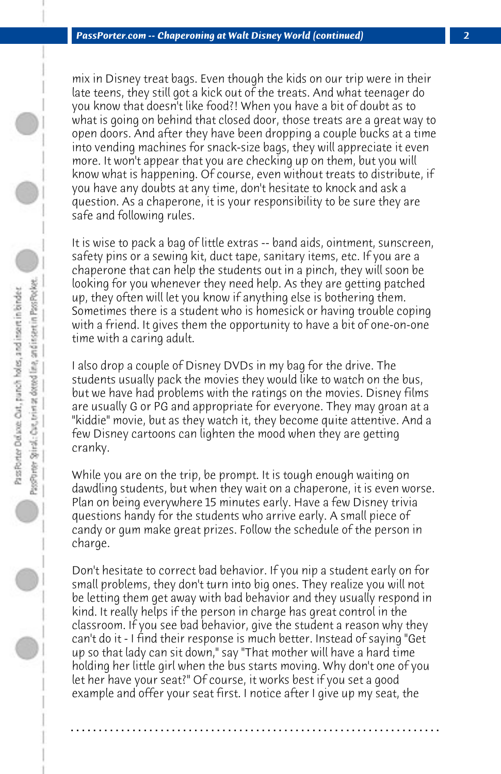mix in Disney treat bags. Even though the kids on our trip were in their late teens, they still got a kick out of the treats. And what teenager do you know that doesn't like food?! When you have a bit of doubt as to what is going on behind that closed door, those treats are a great way to open doors. And after they have been dropping a couple bucks at a time into vending machines for snack-size bags, they will appreciate it even more. It won't appear that you are checking up on them, but you will know what is happening. Of course, even without treats to distribute, if you have any doubts at any time, don't hesitate to knock and ask a question. As a chaperone, it is your responsibility to be sure they are safe and following rules.

It is wise to pack a bag of little extras -- band aids, ointment, sunscreen, safety pins or a sewing kit, duct tape, sanitary items, etc. If you are a chaperone that can help the students out in a pinch, they will soon be looking for you whenever they need help. As they are getting patched up, they often will let you know if anything else is bothering them. Sometimes there is a student who is homesick or having trouble coping with a friend. It gives them the opportunity to have a bit of one-on-one time with a caring adult.

I also drop a couple of Disney DVDs in my bag for the drive. The students usually pack the movies they would like to watch on the bus, but we have had problems with the ratings on the movies. Disney films are usually G or PG and appropriate for everyone. They may groan at a "kiddie" movie, but as they watch it, they become quite attentive. And a few Disney cartoons can lighten the mood when they are getting cranky.

While you are on the trip, be prompt. It is tough enough waiting on dawdling students, but when they wait on a chaperone, it is even worse. Plan on being everywhere 15 minutes early. Have a few Disney trivia questions handy for the students who arrive early. A small piece of candy or gum make great prizes. Follow the schedule of the person in charge.

Don't hesitate to correct bad behavior. If you nip a student early on for small problems, they don't turn into big ones. They realize you will not be letting them get away with bad behavior and they usually respond in kind. It really helps if the person in charge has great control in the classroom. If you see bad behavior, give the student a reason why they can't do it - I find their response is much better. Instead of saying "Get up so that lady can sit down," say "That mother will have a hard time holding her little girl when the bus starts moving. Why don't one of you let her have your seat?" Of course, it works best if you set a good example and offer your seat first. I notice after I give up my seat, the

**. . . . . . . . . . . . . . . . . . . . . . . . . . . . . . . . . . . . . . . . . . . . . . . . . . . . . . . . . . . . . . . . . .**